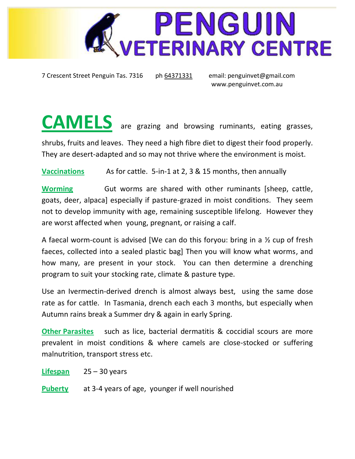

7 Crescent Street Penguin Tas. 7316 ph 64371331 email: [penguinvet@gmail.com](mailto:penguinvet@gmail.com)

[www.penguinvet.com.au](http://www.penguinvet.com.au/)

**CAMELS** are grazing and browsing ruminants, eating grasses,

shrubs, fruits and leaves. They need a high fibre diet to digest their food properly. They are desert-adapted and so may not thrive where the environment is moist.

**Vaccinations** As for cattle. 5-in-1 at 2, 3 & 15 months, then annually

**Worming** Gut worms are shared with other ruminants [sheep, cattle, goats, deer, alpaca] especially if pasture-grazed in moist conditions. They seem not to develop immunity with age, remaining susceptible lifelong. However they are worst affected when young, pregnant, or raising a calf.

A faecal worm-count is advised [We can do this foryou: bring in a ½ cup of fresh faeces, collected into a sealed plastic bag] Then you will know what worms, and how many, are present in your stock. You can then determine a drenching program to suit your stocking rate, climate & pasture type.

Use an Ivermectin-derived drench is almost always best, using the same dose rate as for cattle. In Tasmania, drench each each 3 months, but especially when Autumn rains break a Summer dry & again in early Spring.

**Other Parasites** such as lice, bacterial dermatitis & coccidial scours are more prevalent in moist conditions & where camels are close-stocked or suffering malnutrition, transport stress etc.

**Lifespan** 25 – 30 years

**Puberty** at 3-4 years of age, younger if well nourished